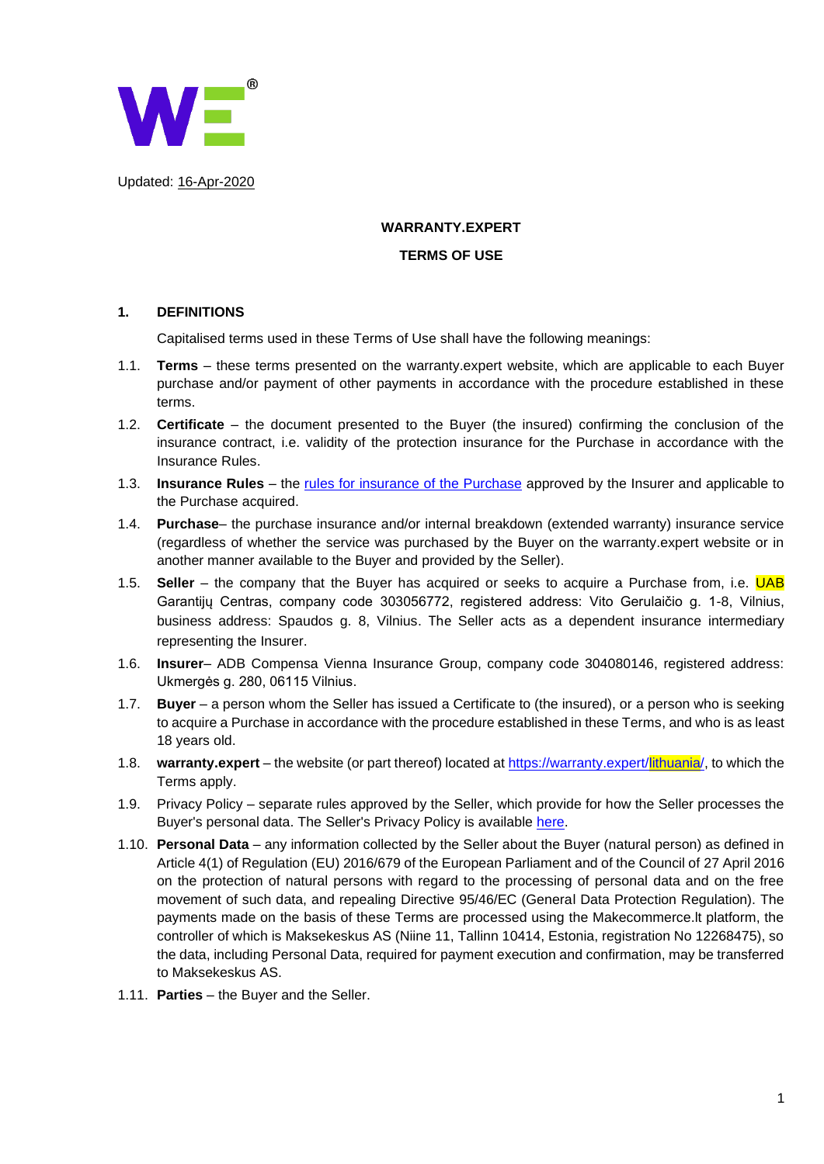

Updated: 16-Apr-2020

### **WARRANTY.EXPERT**

#### **TERMS OF USE**

### **1. DEFINITIONS**

Capitalised terms used in these Terms of Use shall have the following meanings:

- 1.1. **Terms**  these terms presented on the warranty.expert website, which are applicable to each Buyer purchase and/or payment of other payments in accordance with the procedure established in these terms.
- 1.2. **Certificate**  the document presented to the Buyer (the insured) confirming the conclusion of the insurance contract, i.e. validity of the protection insurance for the Purchase in accordance with the Insurance Rules.
- 1.3. **Insurance Rules** the [rules for insurance of the Purchase](https://www.compensa.lt/uploads/ECB/content_1556777516/pirkinio-draudimo-taisykles-galioja-nuo-2017-06-01_3087_3123.pdf) approved by the Insurer and applicable to the Purchase acquired.
- 1.4. **Purchase** the purchase insurance and/or internal breakdown (extended warranty) insurance service (regardless of whether the service was purchased by the Buyer on the warranty.expert website or in another manner available to the Buyer and provided by the Seller).
- 1.5. **Seller** the company that the Buyer has acquired or seeks to acquire a Purchase from, i.e. UAB Garantijų Centras, company code 303056772, registered address: Vito Gerulaičio g. 1-8, Vilnius, business address: Spaudos g. 8, Vilnius. The Seller acts as a dependent insurance intermediary representing the Insurer.
- 1.6. **Insurer** ADB Compensa Vienna Insurance Group, company code 304080146, registered address: Ukmergės g. 280, 06115 Vilnius.
- 1.7. **Buyer**  a person whom the Seller has issued a Certificate to (the insured), or a person who is seeking to acquire a Purchase in accordance with the procedure established in these Terms, and who is as least 18 years old.
- 1.8. **warranty.expert** the website (or part thereof) located at [https://warranty.expert/lithuania/,](https://warranty.expert/lithuania/) to which the Terms apply.
- 1.9. Privacy Policy separate rules approved by the Seller, which provide for how the Seller processes the Buyer's personal data. The Seller's Privacy Policy is available [here.](https://warranty.expert/lithuania/wp-content/uploads/2018/11/Privacy-policy-warrantyexpert-LT.pdf)
- 1.10. **Personal Data** any information collected by the Seller about the Buyer (natural person) as defined in Article 4(1) of Regulation (EU) 2016/679 of the European Parliament and of the Council of 27 April 2016 on the protection of natural persons with regard to the processing of personal data and on the free movement of such data, and repealing Directive 95/46/EC (General Data Protection Regulation). The payments made on the basis of these Terms are processed using the Makecommerce.lt platform, the controller of which is Maksekeskus AS (Niine 11, Tallinn 10414, Estonia, registration No 12268475), so the data, including Personal Data, required for payment execution and confirmation, may be transferred to Maksekeskus AS.
- 1.11. **Parties**  the Buyer and the Seller.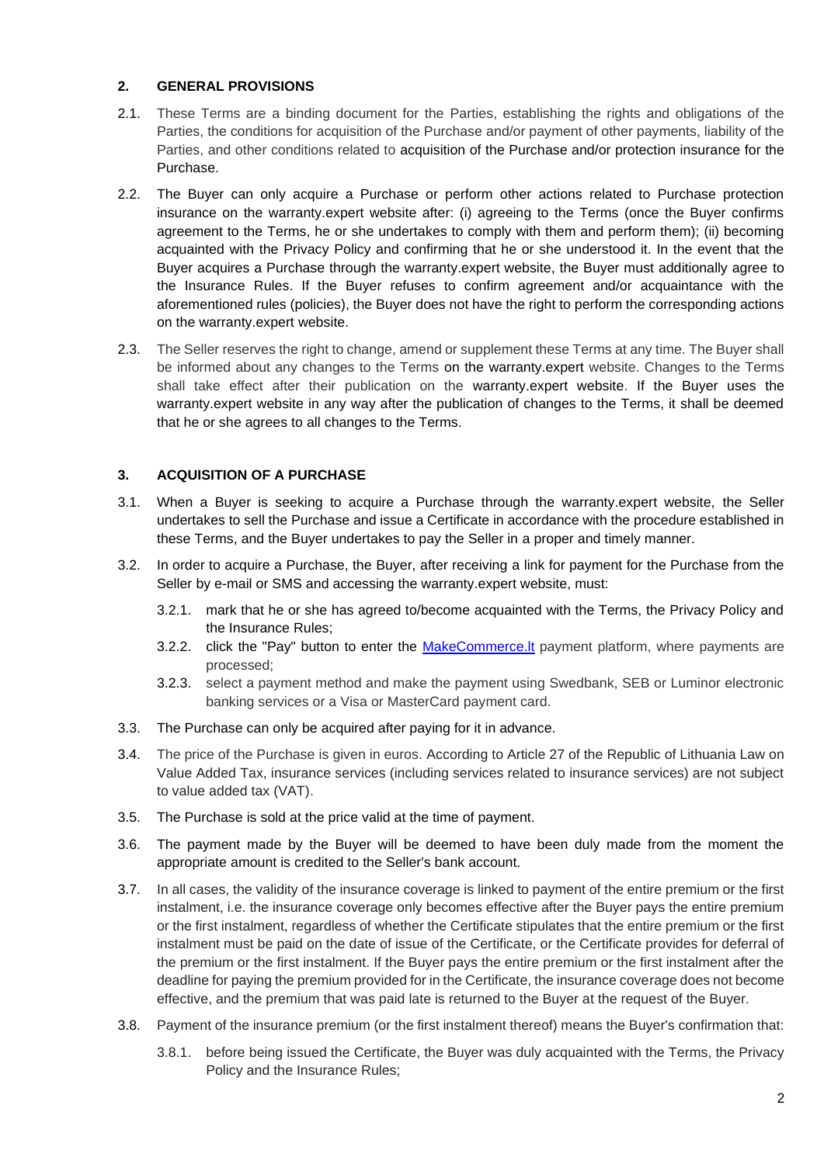### **2. GENERAL PROVISIONS**

- 2.1. These Terms are a binding document for the Parties, establishing the rights and obligations of the Parties, the conditions for acquisition of the Purchase and/or payment of other payments, liability of the Parties, and other conditions related to acquisition of the Purchase and/or protection insurance for the Purchase.
- 2.2. The Buyer can only acquire a Purchase or perform other actions related to Purchase protection insurance on the warranty.expert website after: (i) agreeing to the Terms (once the Buyer confirms agreement to the Terms, he or she undertakes to comply with them and perform them); (ii) becoming acquainted with the Privacy Policy and confirming that he or she understood it. In the event that the Buyer acquires a Purchase through the warranty.expert website, the Buyer must additionally agree to the Insurance Rules. If the Buyer refuses to confirm agreement and/or acquaintance with the aforementioned rules (policies), the Buyer does not have the right to perform the corresponding actions on the warranty.expert website.
- 2.3. The Seller reserves the right to change, amend or supplement these Terms at any time. The Buyer shall be informed about any changes to the Terms on the warranty.expert website. Changes to the Terms shall take effect after their publication on the warranty.expert website. If the Buyer uses the warranty.expert website in any way after the publication of changes to the Terms, it shall be deemed that he or she agrees to all changes to the Terms.

# **3. ACQUISITION OF A PURCHASE**

- 3.1. When a Buyer is seeking to acquire a Purchase through the warranty.expert website, the Seller undertakes to sell the Purchase and issue a Certificate in accordance with the procedure established in these Terms, and the Buyer undertakes to pay the Seller in a proper and timely manner.
- 3.2. In order to acquire a Purchase, the Buyer, after receiving a link for payment for the Purchase from the Seller by e-mail or SMS and accessing the warranty.expert website, must:
	- 3.2.1. mark that he or she has agreed to/become acquainted with the Terms, the Privacy Policy and the Insurance Rules;
	- 3.2.2. click the "Pay" button to enter the MakeCommerce. It payment platform, where payments are processed;
	- 3.2.3. select a payment method and make the payment using Swedbank, SEB or Luminor electronic banking services or a Visa or MasterCard payment card.
- 3.3. The Purchase can only be acquired after paying for it in advance.
- 3.4. The price of the Purchase is given in euros. According to Article 27 of the Republic of Lithuania Law on Value Added Tax, insurance services (including services related to insurance services) are not subject to value added tax (VAT).
- 3.5. The Purchase is sold at the price valid at the time of payment.
- 3.6. The payment made by the Buyer will be deemed to have been duly made from the moment the appropriate amount is credited to the Seller's bank account.
- 3.7. In all cases, the validity of the insurance coverage is linked to payment of the entire premium or the first instalment, i.e. the insurance coverage only becomes effective after the Buyer pays the entire premium or the first instalment, regardless of whether the Certificate stipulates that the entire premium or the first instalment must be paid on the date of issue of the Certificate, or the Certificate provides for deferral of the premium or the first instalment. If the Buyer pays the entire premium or the first instalment after the deadline for paying the premium provided for in the Certificate, the insurance coverage does not become effective, and the premium that was paid late is returned to the Buyer at the request of the Buyer.
- 3.8. Payment of the insurance premium (or the first instalment thereof) means the Buyer's confirmation that:
	- 3.8.1. before being issued the Certificate, the Buyer was duly acquainted with the Terms, the Privacy Policy and the Insurance Rules;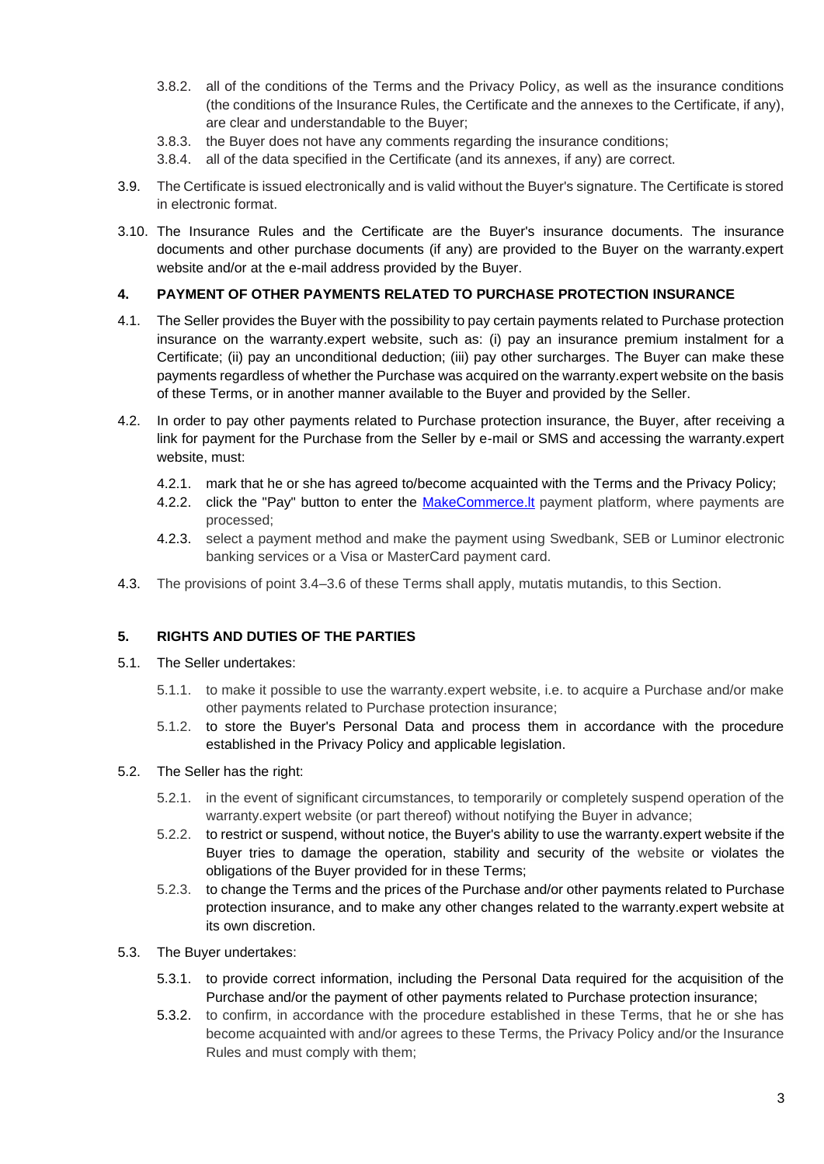- 3.8.2. all of the conditions of the Terms and the Privacy Policy, as well as the insurance conditions (the conditions of the Insurance Rules, the Certificate and the annexes to the Certificate, if any), are clear and understandable to the Buyer;
- 3.8.3. the Buyer does not have any comments regarding the insurance conditions;
- 3.8.4. all of the data specified in the Certificate (and its annexes, if any) are correct.
- 3.9. The Certificate is issued electronically and is valid without the Buyer's signature. The Certificate is stored in electronic format.
- 3.10. The Insurance Rules and the Certificate are the Buyer's insurance documents. The insurance documents and other purchase documents (if any) are provided to the Buyer on the warranty.expert website and/or at the e-mail address provided by the Buyer.

## **4. PAYMENT OF OTHER PAYMENTS RELATED TO PURCHASE PROTECTION INSURANCE**

- 4.1. The Seller provides the Buyer with the possibility to pay certain payments related to Purchase protection insurance on the warranty.expert website, such as: (i) pay an insurance premium instalment for a Certificate; (ii) pay an unconditional deduction; (iii) pay other surcharges. The Buyer can make these payments regardless of whether the Purchase was acquired on the warranty.expert website on the basis of these Terms, or in another manner available to the Buyer and provided by the Seller.
- 4.2. In order to pay other payments related to Purchase protection insurance, the Buyer, after receiving a link for payment for the Purchase from the Seller by e-mail or SMS and accessing the warranty.expert website, must:
	- 4.2.1. mark that he or she has agreed to/become acquainted with the Terms and the Privacy Policy;
	- 4.2.2. click the "Pay" button to enter the MakeCommerce. It payment platform, where payments are processed;
	- 4.2.3. select a payment method and make the payment using Swedbank, SEB or Luminor electronic banking services or a Visa or MasterCard payment card.
- 4.3. The provisions of point 3.4–3.6 of these Terms shall apply, mutatis mutandis, to this Section.

### **5. RIGHTS AND DUTIES OF THE PARTIES**

- 5.1. The Seller undertakes:
	- 5.1.1. to make it possible to use the warranty.expert website, i.e. to acquire a Purchase and/or make other payments related to Purchase protection insurance;
	- 5.1.2. to store the Buyer's Personal Data and process them in accordance with the procedure established in the Privacy Policy and applicable legislation.
- 5.2. The Seller has the right:
	- 5.2.1. in the event of significant circumstances, to temporarily or completely suspend operation of the warranty.expert website (or part thereof) without notifying the Buyer in advance;
	- 5.2.2. to restrict or suspend, without notice, the Buyer's ability to use the warranty.expert website if the Buyer tries to damage the operation, stability and security of the website or violates the obligations of the Buyer provided for in these Terms;
	- 5.2.3. to change the Terms and the prices of the Purchase and/or other payments related to Purchase protection insurance, and to make any other changes related to the warranty.expert website at its own discretion.
- 5.3. The Buyer undertakes:
	- 5.3.1. to provide correct information, including the Personal Data required for the acquisition of the Purchase and/or the payment of other payments related to Purchase protection insurance;
	- 5.3.2. to confirm, in accordance with the procedure established in these Terms, that he or she has become acquainted with and/or agrees to these Terms, the Privacy Policy and/or the Insurance Rules and must comply with them;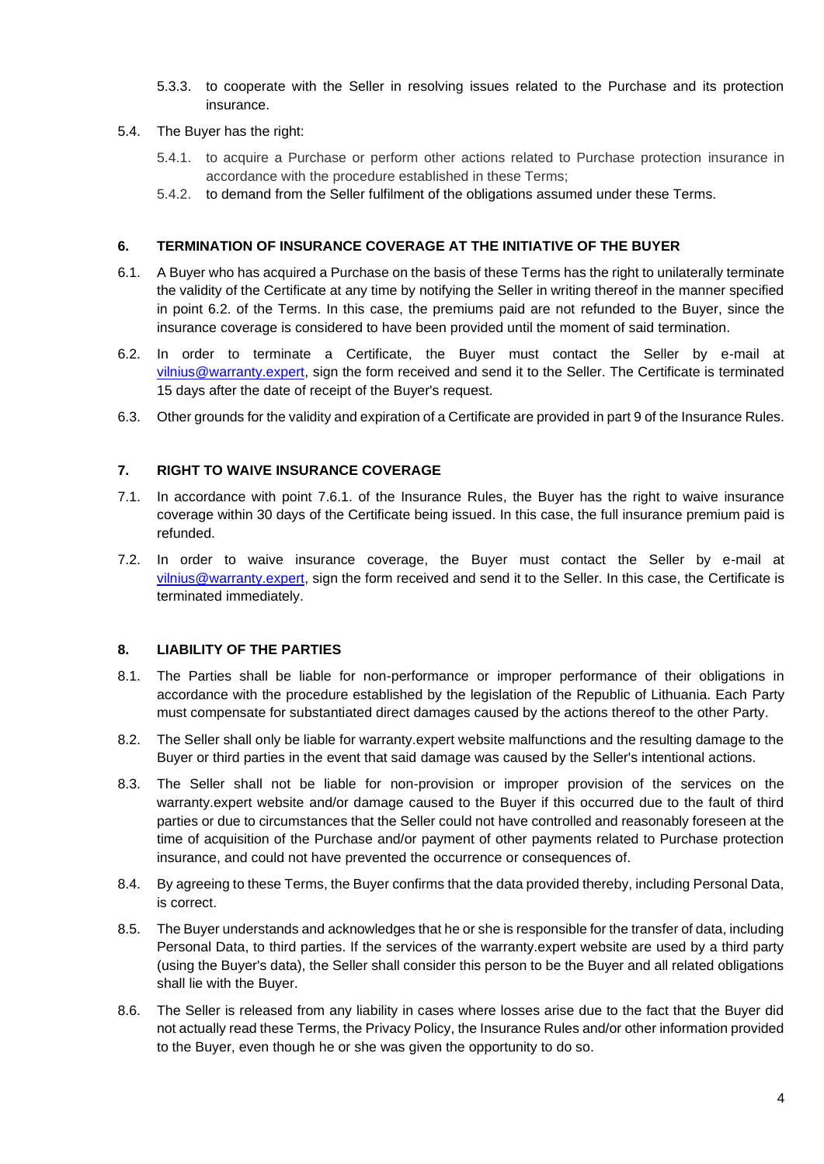- 5.3.3. to cooperate with the Seller in resolving issues related to the Purchase and its protection insurance.
- 5.4. The Buyer has the right:
	- 5.4.1. to acquire a Purchase or perform other actions related to Purchase protection insurance in accordance with the procedure established in these Terms;
	- 5.4.2. to demand from the Seller fulfilment of the obligations assumed under these Terms.

## **6. TERMINATION OF INSURANCE COVERAGE AT THE INITIATIVE OF THE BUYER**

- 6.1. A Buyer who has acquired a Purchase on the basis of these Terms has the right to unilaterally terminate the validity of the Certificate at any time by notifying the Seller in writing thereof in the manner specified in point 6.2. of the Terms. In this case, the premiums paid are not refunded to the Buyer, since the insurance coverage is considered to have been provided until the moment of said termination.
- 6.2. In order to terminate a Certificate, the Buyer must contact the Seller by e-mail at [vilnius@warranty.expert,](mailto:vilnius@warranty.expert) sign the form received and send it to the Seller. The Certificate is terminated 15 days after the date of receipt of the Buyer's request.
- 6.3. Other grounds for the validity and expiration of a Certificate are provided in part 9 of the Insurance Rules.

## **7. RIGHT TO WAIVE INSURANCE COVERAGE**

- 7.1. In accordance with point 7.6.1. of the Insurance Rules, the Buyer has the right to waive insurance coverage within 30 days of the Certificate being issued. In this case, the full insurance premium paid is refunded.
- 7.2. In order to waive insurance coverage, the Buyer must contact the Seller by e-mail at [vilnius@warranty.expert,](mailto:vilnius@warranty.expert) sign the form received and send it to the Seller. In this case, the Certificate is terminated immediately.

# **8. LIABILITY OF THE PARTIES**

- 8.1. The Parties shall be liable for non-performance or improper performance of their obligations in accordance with the procedure established by the legislation of the Republic of Lithuania. Each Party must compensate for substantiated direct damages caused by the actions thereof to the other Party.
- 8.2. The Seller shall only be liable for warranty.expert website malfunctions and the resulting damage to the Buyer or third parties in the event that said damage was caused by the Seller's intentional actions.
- 8.3. The Seller shall not be liable for non-provision or improper provision of the services on the warranty.expert website and/or damage caused to the Buyer if this occurred due to the fault of third parties or due to circumstances that the Seller could not have controlled and reasonably foreseen at the time of acquisition of the Purchase and/or payment of other payments related to Purchase protection insurance, and could not have prevented the occurrence or consequences of.
- 8.4. By agreeing to these Terms, the Buyer confirms that the data provided thereby, including Personal Data, is correct.
- 8.5. The Buyer understands and acknowledges that he or she is responsible for the transfer of data, including Personal Data, to third parties. If the services of the warranty.expert website are used by a third party (using the Buyer's data), the Seller shall consider this person to be the Buyer and all related obligations shall lie with the Buyer.
- 8.6. The Seller is released from any liability in cases where losses arise due to the fact that the Buyer did not actually read these Terms, the Privacy Policy, the Insurance Rules and/or other information provided to the Buyer, even though he or she was given the opportunity to do so.